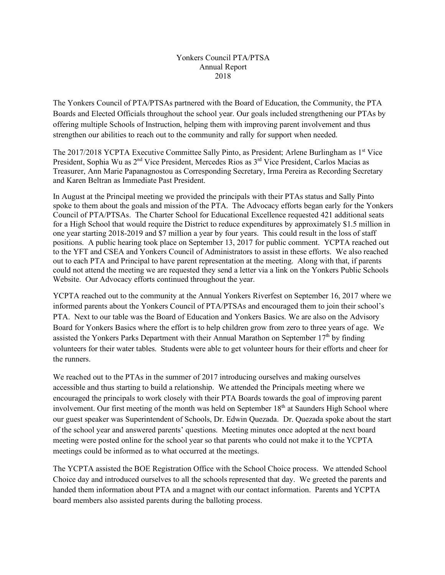The Yonkers Council of PTA/PTSAs partnered with the Board of Education, the Community, the PTA Boards and Elected Officials throughout the school year. Our goals included strengthening our PTAs by offering multiple Schools of Instruction, helping them with improving parent involvement and thus strengthen our abilities to reach out to the community and rally for support when needed.

The 2017/2018 YCPTA Executive Committee Sally Pinto, as President; Arlene Burlingham as 1<sup>st</sup> Vice President, Sophia Wu as 2<sup>nd</sup> Vice President, Mercedes Rios as 3<sup>rd</sup> Vice President, Carlos Macias as Treasurer, Ann Marie Papanagnostou as Corresponding Secretary, Irma Pereira as Recording Secretary and Karen Beltran as Immediate Past President.

In August at the Principal meeting we provided the principals with their PTAs status and Sally Pinto spoke to them about the goals and mission of the PTA. The Advocacy efforts began early for the Yonkers Council of PTA/PTSAs. The Charter School for Educational Excellence requested 421 additional seats for a High School that would require the District to reduce expenditures by approximately \$1.5 million in one year starting 2018-2019 and \$7 million a year by four years. This could result in the loss of staff positions. A public hearing took place on September 13, 2017 for public comment. YCPTA reached out to the YFT and CSEA and Yonkers Council of Administrators to assist in these efforts. We also reached out to each PTA and Principal to have parent representation at the meeting. Along with that, if parents could not attend the meeting we are requested they send a letter via a link on the Yonkers Public Schools Website. Our Advocacy efforts continued throughout the year.

YCPTA reached out to the community at the Annual Yonkers Riverfest on September 16, 2017 where we informed parents about the Yonkers Council of PTA/PTSAs and encouraged them to join their school's PTA. Next to our table was the Board of Education and Yonkers Basics. We are also on the Advisory Board for Yonkers Basics where the effort is to help children grow from zero to three years of age. We assisted the Yonkers Parks Department with their Annual Marathon on September  $17<sup>th</sup>$  by finding volunteers for their water tables. Students were able to get volunteer hours for their efforts and cheer for the runners.

We reached out to the PTAs in the summer of 2017 introducing ourselves and making ourselves accessible and thus starting to build a relationship. We attended the Principals meeting where we encouraged the principals to work closely with their PTA Boards towards the goal of improving parent involvement. Our first meeting of the month was held on September 18<sup>th</sup> at Saunders High School where our guest speaker was Superintendent of Schools, Dr. Edwin Quezada. Dr. Quezada spoke about the start of the school year and answered parents' questions. Meeting minutes once adopted at the next board meeting were posted online for the school year so that parents who could not make it to the YCPTA meetings could be informed as to what occurred at the meetings.

The YCPTA assisted the BOE Registration Office with the School Choice process. We attended School Choice day and introduced ourselves to all the schools represented that day. We greeted the parents and handed them information about PTA and a magnet with our contact information. Parents and YCPTA board members also assisted parents during the balloting process.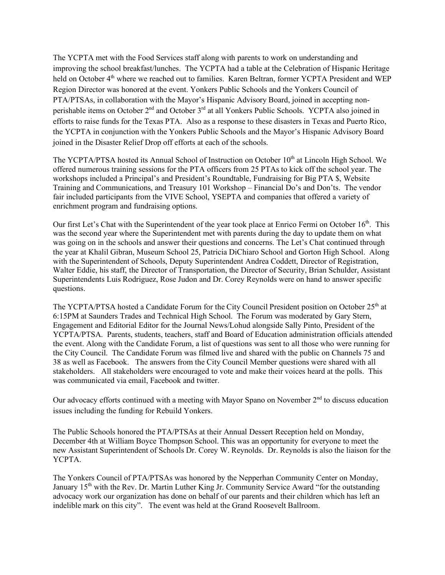The YCPTA met with the Food Services staff along with parents to work on understanding and improving the school breakfast/lunches. The YCPTA had a table at the Celebration of Hispanic Heritage held on October 4<sup>th</sup> where we reached out to families. Karen Beltran, former YCPTA President and WEP Region Director was honored at the event. Yonkers Public Schools and the Yonkers Council of PTA/PTSAs, in collaboration with the Mayor's Hispanic Advisory Board, joined in accepting nonperishable items on October 2<sup>nd</sup> and October 3<sup>rd</sup> at all Yonkers Public Schools. YCPTA also joined in efforts to raise funds for the Texas PTA. Also as a response to these disasters in Texas and Puerto Rico, the YCPTA in conjunction with the Yonkers Public Schools and the Mayor's Hispanic Advisory Board joined in the Disaster Relief Drop off efforts at each of the schools.

The YCPTA/PTSA hosted its Annual School of Instruction on October 10<sup>th</sup> at Lincoln High School. We offered numerous training sessions for the PTA officers from 25 PTAs to kick off the school year. The workshops included a Principal's and President's Roundtable, Fundraising for Big PTA \$, Website Training and Communications, and Treasury 101 Workshop – Financial Do's and Don'ts. The vendor fair included participants from the VIVE School, YSEPTA and companies that offered a variety of enrichment program and fundraising options.

Our first Let's Chat with the Superintendent of the year took place at Enrico Fermi on October 16<sup>th</sup>. This was the second year where the Superintendent met with parents during the day to update them on what was going on in the schools and answer their questions and concerns. The Let's Chat continued through the year at Khalil Gibran, Museum School 25, Patricia DiChiaro School and Gorton High School. Along with the Superintendent of Schools, Deputy Superintendent Andrea Coddett, Director of Registration, Walter Eddie, his staff, the Director of Transportation, the Director of Security, Brian Schulder, Assistant Superintendents Luis Rodriguez, Rose Judon and Dr. Corey Reynolds were on hand to answer specific questions.

The YCPTA/PTSA hosted a Candidate Forum for the City Council President position on October 25<sup>th</sup> at 6:15PM at Saunders Trades and Technical High School. The Forum was moderated by Gary Stern, Engagement and Editorial Editor for the Journal News/Lohud alongside Sally Pinto, President of the YCPTA/PTSA. Parents, students, teachers, staff and Board of Education administration officials attended the event. Along with the Candidate Forum, a list of questions was sent to all those who were running for the City Council. The Candidate Forum was filmed live and shared with the public on Channels 75 and 38 as well as Facebook. The answers from the City Council Member questions were shared with all stakeholders. All stakeholders were encouraged to vote and make their voices heard at the polls. This was communicated via email, Facebook and twitter.

Our advocacy efforts continued with a meeting with Mayor Spano on November  $2<sup>nd</sup>$  to discuss education issues including the funding for Rebuild Yonkers.

The Public Schools honored the PTA/PTSAs at their Annual Dessert Reception held on Monday, December 4th at William Boyce Thompson School. This was an opportunity for everyone to meet the new Assistant Superintendent of Schools Dr. Corey W. Reynolds. Dr. Reynolds is also the liaison for the YCPTA.

The Yonkers Council of PTA/PTSAs was honored by the Nepperhan Community Center on Monday, January 15<sup>th</sup> with the Rev. Dr. Martin Luther King Jr. Community Service Award "for the outstanding advocacy work our organization has done on behalf of our parents and their children which has left an indelible mark on this city". The event was held at the Grand Roosevelt Ballroom.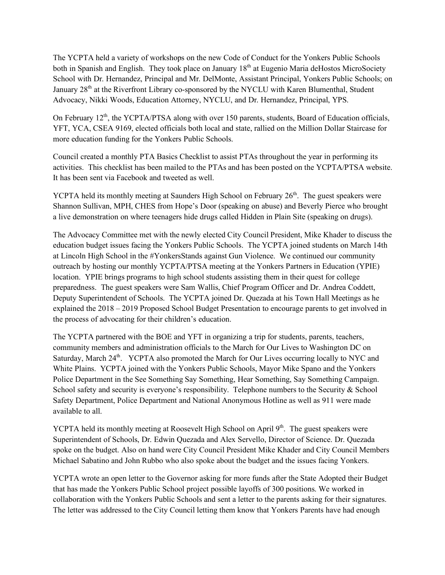The YCPTA held a variety of workshops on the new Code of Conduct for the Yonkers Public Schools both in Spanish and English. They took place on January 18<sup>th</sup> at Eugenio Maria deHostos MicroSociety School with Dr. Hernandez, Principal and Mr. DelMonte, Assistant Principal, Yonkers Public Schools; on January 28<sup>th</sup> at the Riverfront Library co-sponsored by the NYCLU with Karen Blumenthal, Student Advocacy, Nikki Woods, Education Attorney, NYCLU, and Dr. Hernandez, Principal, YPS.

On February 12<sup>th</sup>, the YCPTA/PTSA along with over 150 parents, students, Board of Education officials, YFT, YCA, CSEA 9169, elected officials both local and state, rallied on the Million Dollar Staircase for more education funding for the Yonkers Public Schools.

Council created a monthly PTA Basics Checklist to assist PTAs throughout the year in performing its activities. This checklist has been mailed to the PTAs and has been posted on the YCPTA/PTSA website. It has been sent via Facebook and tweeted as well.

YCPTA held its monthly meeting at Saunders High School on February 26<sup>th</sup>. The guest speakers were Shannon Sullivan, MPH, CHES from Hope's Door (speaking on abuse) and Beverly Pierce who brought a live demonstration on where teenagers hide drugs called Hidden in Plain Site (speaking on drugs).

The Advocacy Committee met with the newly elected City Council President, Mike Khader to discuss the education budget issues facing the Yonkers Public Schools. The YCPTA joined students on March 14th at Lincoln High School in the #YonkersStands against Gun Violence. We continued our community outreach by hosting our monthly YCPTA/PTSA meeting at the Yonkers Partners in Education (YPIE) location. YPIE brings programs to high school students assisting them in their quest for college preparedness. The guest speakers were Sam Wallis, Chief Program Officer and Dr. Andrea Coddett, Deputy Superintendent of Schools. The YCPTA joined Dr. Quezada at his Town Hall Meetings as he explained the 2018 – 2019 Proposed School Budget Presentation to encourage parents to get involved in the process of advocating for their children's education.

The YCPTA partnered with the BOE and YFT in organizing a trip for students, parents, teachers, community members and administration officials to the March for Our Lives to Washington DC on Saturday, March  $24<sup>th</sup>$ . YCPTA also promoted the March for Our Lives occurring locally to NYC and White Plains. YCPTA joined with the Yonkers Public Schools, Mayor Mike Spano and the Yonkers Police Department in the See Something Say Something, Hear Something, Say Something Campaign. School safety and security is everyone's responsibility. Telephone numbers to the Security & School Safety Department, Police Department and National Anonymous Hotline as well as 911 were made available to all.

YCPTA held its monthly meeting at Roosevelt High School on April 9<sup>th</sup>. The guest speakers were Superintendent of Schools, Dr. Edwin Quezada and Alex Servello, Director of Science. Dr. Quezada spoke on the budget. Also on hand were City Council President Mike Khader and City Council Members Michael Sabatino and John Rubbo who also spoke about the budget and the issues facing Yonkers.

YCPTA wrote an open letter to the Governor asking for more funds after the State Adopted their Budget that has made the Yonkers Public School project possible layoffs of 300 positions. We worked in collaboration with the Yonkers Public Schools and sent a letter to the parents asking for their signatures. The letter was addressed to the City Council letting them know that Yonkers Parents have had enough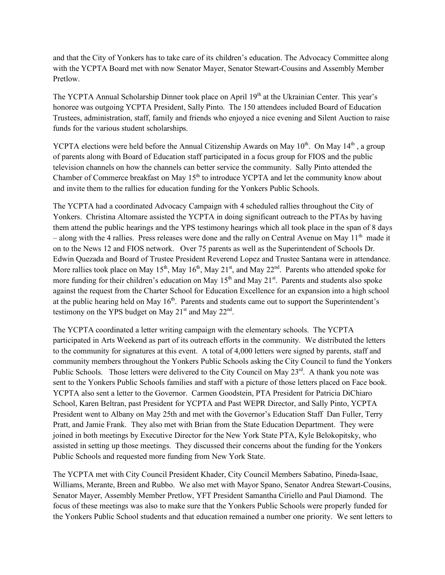and that the City of Yonkers has to take care of its children's education. The Advocacy Committee along with the YCPTA Board met with now Senator Mayer, Senator Stewart-Cousins and Assembly Member Pretlow.

The YCPTA Annual Scholarship Dinner took place on April 19<sup>th</sup> at the Ukrainian Center. This year's honoree was outgoing YCPTA President, Sally Pinto. The 150 attendees included Board of Education Trustees, administration, staff, family and friends who enjoyed a nice evening and Silent Auction to raise funds for the various student scholarships.

YCPTA elections were held before the Annual Citizenship Awards on May  $10^{th}$ . On May  $14^{th}$ , a group of parents along with Board of Education staff participated in a focus group for FIOS and the public television channels on how the channels can better service the community. Sally Pinto attended the Chamber of Commerce breakfast on May 15<sup>th</sup> to introduce YCPTA and let the community know about and invite them to the rallies for education funding for the Yonkers Public Schools.

The YCPTA had a coordinated Advocacy Campaign with 4 scheduled rallies throughout the City of Yonkers. Christina Altomare assisted the YCPTA in doing significant outreach to the PTAs by having them attend the public hearings and the YPS testimony hearings which all took place in the span of 8 days – along with the 4 rallies. Press releases were done and the rally on Central Avenue on May  $11<sup>th</sup>$  made it on to the News 12 and FIOS network. Over 75 parents as well as the Superintendent of Schools Dr. Edwin Quezada and Board of Trustee President Reverend Lopez and Trustee Santana were in attendance. More rallies took place on May 15<sup>th</sup>, May 16<sup>th</sup>, May 21<sup>st</sup>, and May 22<sup>nd</sup>. Parents who attended spoke for more funding for their children's education on May  $15<sup>th</sup>$  and May  $21<sup>st</sup>$ . Parents and students also spoke against the request from the Charter School for Education Excellence for an expansion into a high school at the public hearing held on May  $16<sup>th</sup>$ . Parents and students came out to support the Superintendent's testimony on the YPS budget on May  $21<sup>st</sup>$  and May  $22<sup>nd</sup>$ .

The YCPTA coordinated a letter writing campaign with the elementary schools. The YCPTA participated in Arts Weekend as part of its outreach efforts in the community. We distributed the letters to the community for signatures at this event. A total of 4,000 letters were signed by parents, staff and community members throughout the Yonkers Public Schools asking the City Council to fund the Yonkers Public Schools. Those letters were delivered to the City Council on May 23<sup>rd</sup>. A thank you note was sent to the Yonkers Public Schools families and staff with a picture of those letters placed on Face book. YCPTA also sent a letter to the Governor. Carmen Goodstein, PTA President for Patricia DiChiaro School, Karen Beltran, past President for YCPTA and Past WEPR Director, and Sally Pinto, YCPTA President went to Albany on May 25th and met with the Governor's Education Staff Dan Fuller, Terry Pratt, and Jamie Frank. They also met with Brian from the State Education Department. They were joined in both meetings by Executive Director for the New York State PTA, Kyle Belokopitsky, who assisted in setting up those meetings. They discussed their concerns about the funding for the Yonkers Public Schools and requested more funding from New York State.

The YCPTA met with City Council President Khader, City Council Members Sabatino, Pineda-Isaac, Williams, Merante, Breen and Rubbo. We also met with Mayor Spano, Senator Andrea Stewart-Cousins, Senator Mayer, Assembly Member Pretlow, YFT President Samantha Ciriello and Paul Diamond. The focus of these meetings was also to make sure that the Yonkers Public Schools were properly funded for the Yonkers Public School students and that education remained a number one priority. We sent letters to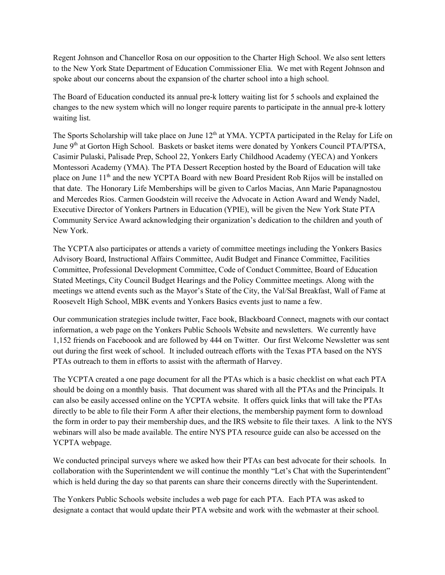Regent Johnson and Chancellor Rosa on our opposition to the Charter High School. We also sent letters to the New York State Department of Education Commissioner Elia. We met with Regent Johnson and spoke about our concerns about the expansion of the charter school into a high school.

The Board of Education conducted its annual pre-k lottery waiting list for 5 schools and explained the changes to the new system which will no longer require parents to participate in the annual pre-k lottery waiting list.

The Sports Scholarship will take place on June 12<sup>th</sup> at YMA. YCPTA participated in the Relay for Life on June 9<sup>th</sup> at Gorton High School. Baskets or basket items were donated by Yonkers Council PTA/PTSA, Casimir Pulaski, Palisade Prep, School 22, Yonkers Early Childhood Academy (YECA) and Yonkers Montessori Academy (YMA). The PTA Dessert Reception hosted by the Board of Education will take place on June 11<sup>th</sup> and the new YCPTA Board with new Board President Rob Rijos will be installed on that date. The Honorary Life Memberships will be given to Carlos Macias, Ann Marie Papanagnostou and Mercedes Rios. Carmen Goodstein will receive the Advocate in Action Award and Wendy Nadel, Executive Director of Yonkers Partners in Education (YPIE), will be given the New York State PTA Community Service Award acknowledging their organization's dedication to the children and youth of New York.

The YCPTA also participates or attends a variety of committee meetings including the Yonkers Basics Advisory Board, Instructional Affairs Committee, Audit Budget and Finance Committee, Facilities Committee, Professional Development Committee, Code of Conduct Committee, Board of Education Stated Meetings, City Council Budget Hearings and the Policy Committee meetings. Along with the meetings we attend events such as the Mayor's State of the City, the Val/Sal Breakfast, Wall of Fame at Roosevelt High School, MBK events and Yonkers Basics events just to name a few.

Our communication strategies include twitter, Face book, Blackboard Connect, magnets with our contact information, a web page on the Yonkers Public Schools Website and newsletters. We currently have 1,152 friends on Faceboook and are followed by 444 on Twitter. Our first Welcome Newsletter was sent out during the first week of school. It included outreach efforts with the Texas PTA based on the NYS PTAs outreach to them in efforts to assist with the aftermath of Harvey.

The YCPTA created a one page document for all the PTAs which is a basic checklist on what each PTA should be doing on a monthly basis. That document was shared with all the PTAs and the Principals. It can also be easily accessed online on the YCPTA website. It offers quick links that will take the PTAs directly to be able to file their Form A after their elections, the membership payment form to download the form in order to pay their membership dues, and the IRS website to file their taxes. A link to the NYS webinars will also be made available. The entire NYS PTA resource guide can also be accessed on the YCPTA webpage.

We conducted principal surveys where we asked how their PTAs can best advocate for their schools. In collaboration with the Superintendent we will continue the monthly "Let's Chat with the Superintendent" which is held during the day so that parents can share their concerns directly with the Superintendent.

The Yonkers Public Schools website includes a web page for each PTA. Each PTA was asked to designate a contact that would update their PTA website and work with the webmaster at their school.